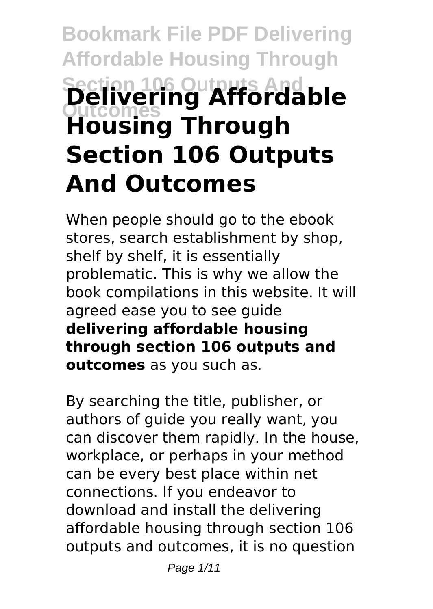# **Bookmark File PDF Delivering Affordable Housing Through Section 106 Outputs And Outcomes Delivering Affordable Housing Through Section 106 Outputs And Outcomes**

When people should go to the ebook stores, search establishment by shop, shelf by shelf, it is essentially problematic. This is why we allow the book compilations in this website. It will agreed ease you to see guide **delivering affordable housing through section 106 outputs and outcomes** as you such as.

By searching the title, publisher, or authors of guide you really want, you can discover them rapidly. In the house, workplace, or perhaps in your method can be every best place within net connections. If you endeavor to download and install the delivering affordable housing through section 106 outputs and outcomes, it is no question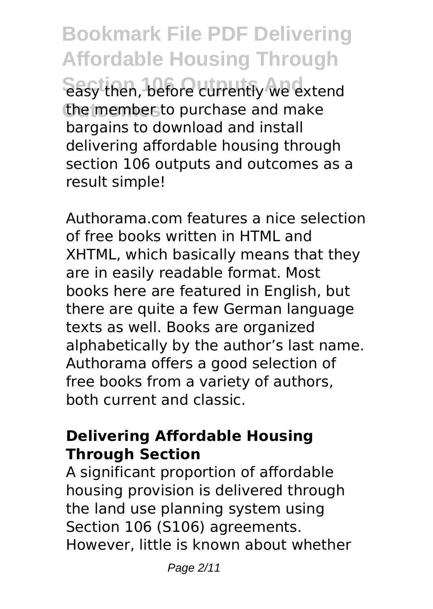**Bookmark File PDF Delivering Affordable Housing Through Sasy then, before currently we extend** the member to purchase and make bargains to download and install delivering affordable housing through section 106 outputs and outcomes as a result simple!

Authorama.com features a nice selection of free books written in HTML and XHTML, which basically means that they are in easily readable format. Most books here are featured in English, but there are quite a few German language texts as well. Books are organized alphabetically by the author's last name. Authorama offers a good selection of free books from a variety of authors, both current and classic.

#### **Delivering Affordable Housing Through Section**

A significant proportion of affordable housing provision is delivered through the land use planning system using Section 106 (S106) agreements. However, little is known about whether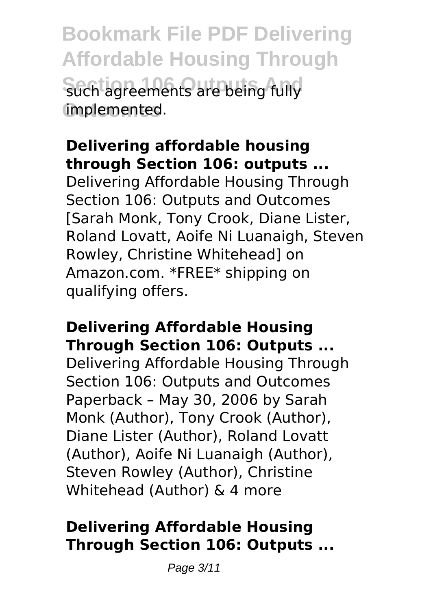**Bookmark File PDF Delivering Affordable Housing Through** such agreements are being fully **Outcomes** implemented.

## **Delivering affordable housing through Section 106: outputs ...**

Delivering Affordable Housing Through Section 106: Outputs and Outcomes [Sarah Monk, Tony Crook, Diane Lister, Roland Lovatt, Aoife Ni Luanaigh, Steven Rowley, Christine Whitehead] on Amazon.com. \*FREE\* shipping on qualifying offers.

## **Delivering Affordable Housing Through Section 106: Outputs ...**

Delivering Affordable Housing Through Section 106: Outputs and Outcomes Paperback – May 30, 2006 by Sarah Monk (Author), Tony Crook (Author), Diane Lister (Author), Roland Lovatt (Author), Aoife Ni Luanaigh (Author), Steven Rowley (Author), Christine Whitehead (Author) & 4 more

## **Delivering Affordable Housing Through Section 106: Outputs ...**

Page 3/11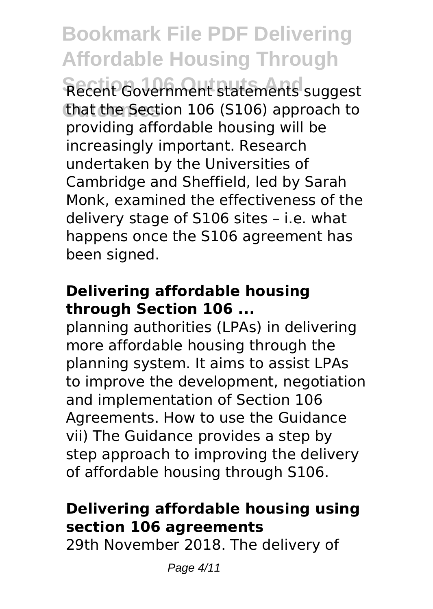**Bookmark File PDF Delivering Affordable Housing Through** Recent Government statements suggest that the Section 106 (S106) approach to providing affordable housing will be increasingly important. Research undertaken by the Universities of Cambridge and Sheffield, led by Sarah Monk, examined the effectiveness of the delivery stage of S106 sites – i.e. what happens once the S106 agreement has been signed.

## **Delivering affordable housing through Section 106 ...**

planning authorities (LPAs) in delivering more affordable housing through the planning system. It aims to assist LPAs to improve the development, negotiation and implementation of Section 106 Agreements. How to use the Guidance vii) The Guidance provides a step by step approach to improving the delivery of affordable housing through S106.

## **Delivering affordable housing using section 106 agreements**

29th November 2018. The delivery of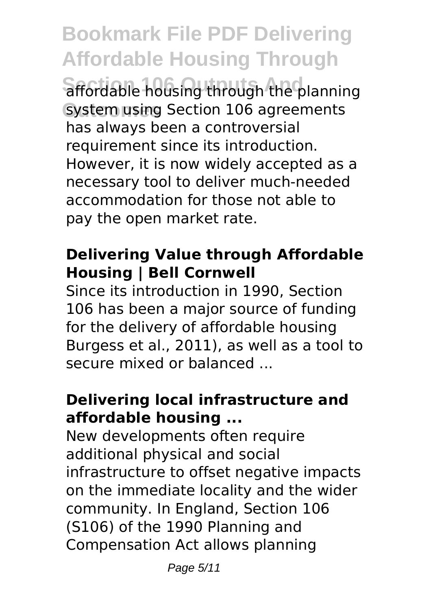**Bookmark File PDF Delivering Affordable Housing Through** affordable housing through the planning System using Section 106 agreements has always been a controversial requirement since its introduction. However, it is now widely accepted as a necessary tool to deliver much-needed accommodation for those not able to pay the open market rate.

## **Delivering Value through Affordable Housing | Bell Cornwell**

Since its introduction in 1990, Section 106 has been a major source of funding for the delivery of affordable housing Burgess et al., 2011), as well as a tool to secure mixed or balanced ...

## **Delivering local infrastructure and affordable housing ...**

New developments often require additional physical and social infrastructure to offset negative impacts on the immediate locality and the wider community. In England, Section 106 (S106) of the 1990 Planning and Compensation Act allows planning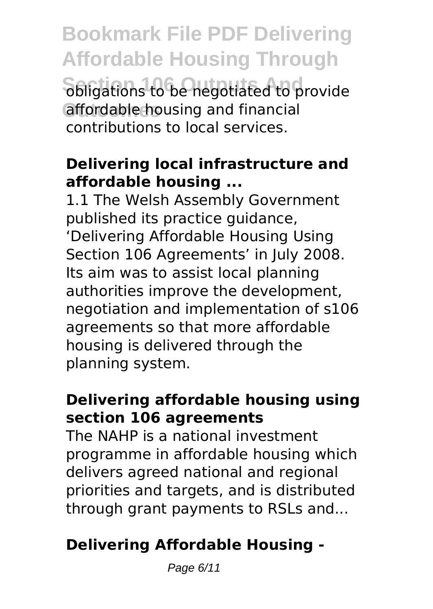**Bookmark File PDF Delivering Affordable Housing Through Sbligations to be negotiated to provide** affordable housing and financial contributions to local services.

## **Delivering local infrastructure and affordable housing ...**

1.1 The Welsh Assembly Government published its practice guidance, 'Delivering Affordable Housing Using Section 106 Agreements' in July 2008. Its aim was to assist local planning authorities improve the development, negotiation and implementation of s106 agreements so that more affordable housing is delivered through the planning system.

## **Delivering affordable housing using section 106 agreements**

The NAHP is a national investment programme in affordable housing which delivers agreed national and regional priorities and targets, and is distributed through grant payments to RSLs and...

## **Delivering Affordable Housing -**

Page 6/11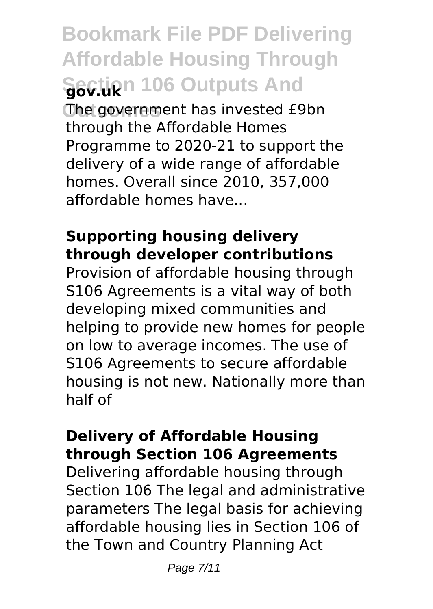**Bookmark File PDF Delivering Affordable Housing Through Section 106 Outputs And** 

The government has invested £9bn through the Affordable Homes Programme to 2020-21 to support the delivery of a wide range of affordable homes. Overall since 2010, 357,000 affordable homes have...

#### **Supporting housing delivery through developer contributions**

Provision of affordable housing through S106 Agreements is a vital way of both developing mixed communities and helping to provide new homes for people on low to average incomes. The use of S106 Agreements to secure affordable housing is not new. Nationally more than half of

#### **Delivery of Affordable Housing through Section 106 Agreements**

Delivering affordable housing through Section 106 The legal and administrative parameters The legal basis for achieving affordable housing lies in Section 106 of the Town and Country Planning Act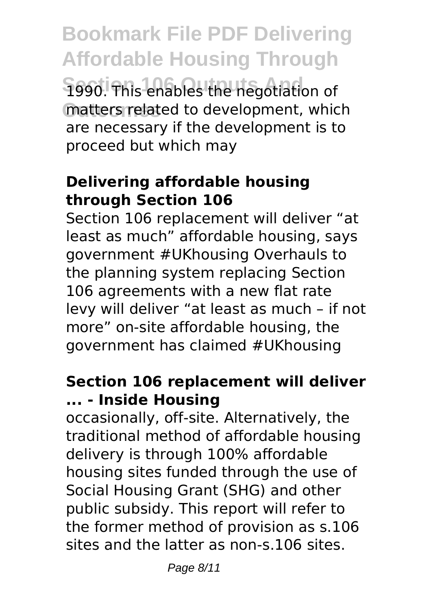**Bookmark File PDF Delivering Affordable Housing Through** 1990. This enables the negotiation of matters related to development, which are necessary if the development is to proceed but which may

## **Delivering affordable housing through Section 106**

Section 106 replacement will deliver "at least as much" affordable housing, says government #UKhousing Overhauls to the planning system replacing Section 106 agreements with a new flat rate levy will deliver "at least as much – if not more" on-site affordable housing, the government has claimed #UKhousing

## **Section 106 replacement will deliver ... - Inside Housing**

occasionally, off-site. Alternatively, the traditional method of affordable housing delivery is through 100% affordable housing sites funded through the use of Social Housing Grant (SHG) and other public subsidy. This report will refer to the former method of provision as s.106 sites and the latter as non-s.106 sites.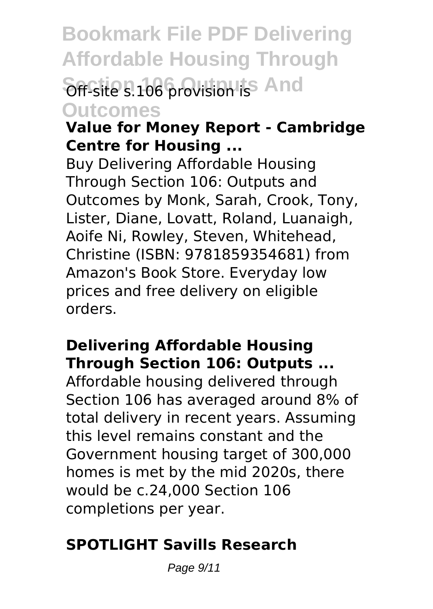**Bookmark File PDF Delivering Affordable Housing Through** Off-site s.106 provision is<sup>5</sup> And **Outcomes**

#### **Value for Money Report - Cambridge Centre for Housing ...**

Buy Delivering Affordable Housing Through Section 106: Outputs and Outcomes by Monk, Sarah, Crook, Tony, Lister, Diane, Lovatt, Roland, Luanaigh, Aoife Ni, Rowley, Steven, Whitehead, Christine (ISBN: 9781859354681) from Amazon's Book Store. Everyday low prices and free delivery on eligible orders.

## **Delivering Affordable Housing Through Section 106: Outputs ...**

Affordable housing delivered through Section 106 has averaged around 8% of total delivery in recent years. Assuming this level remains constant and the Government housing target of 300,000 homes is met by the mid 2020s, there would be c.24,000 Section 106 completions per year.

## **SPOTLIGHT Savills Research**

Page 9/11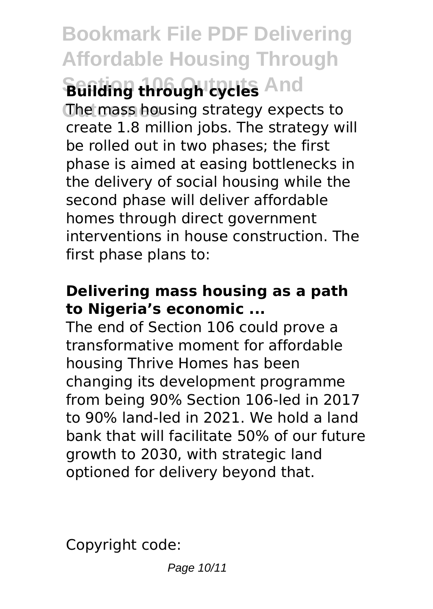## **Bookmark File PDF Delivering Affordable Housing Through Building through cycles And**

**The mass housing strategy expects to** create 1.8 million jobs. The strategy will be rolled out in two phases; the first phase is aimed at easing bottlenecks in the delivery of social housing while the second phase will deliver affordable homes through direct government interventions in house construction. The first phase plans to:

## **Delivering mass housing as a path to Nigeria's economic ...**

The end of Section 106 could prove a transformative moment for affordable housing Thrive Homes has been changing its development programme from being 90% Section 106-led in 2017 to 90% land-led in 2021. We hold a land bank that will facilitate 50% of our future growth to 2030, with strategic land optioned for delivery beyond that.

Copyright code: